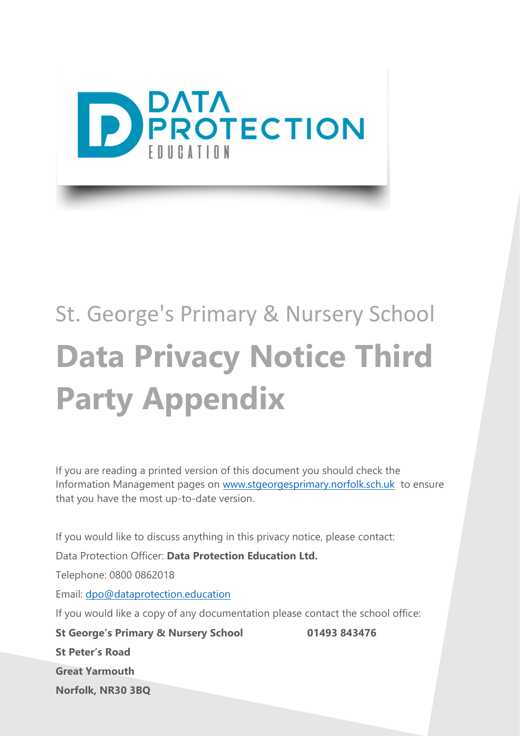

## St. George's Primary & Nursery School **Data Privacy Notice Third Party Appendix**

If you are reading a printed version of this document you should check the Information Management pages on [www.stgeorgesprimary.norfolk.sch.uk](http://www.stgeorgesprimary.norfolk.sch.uk/) to ensure that you have the most up-to-date version.

If you would like to discuss anything in this privacy notice, please contact:

Data Protection Officer: **Data Protection Education Ltd.**

Telephone: 0800 0862018

Email: [dpo@dataprotection.education](mailto:dpo@dataprotection.education)

If you would like a copy of any documentation please contact the school office:

**St George's Primary & Nursery School 01493 843476 St Peter's Road Great Yarmouth Norfolk, NR30 3BQ**